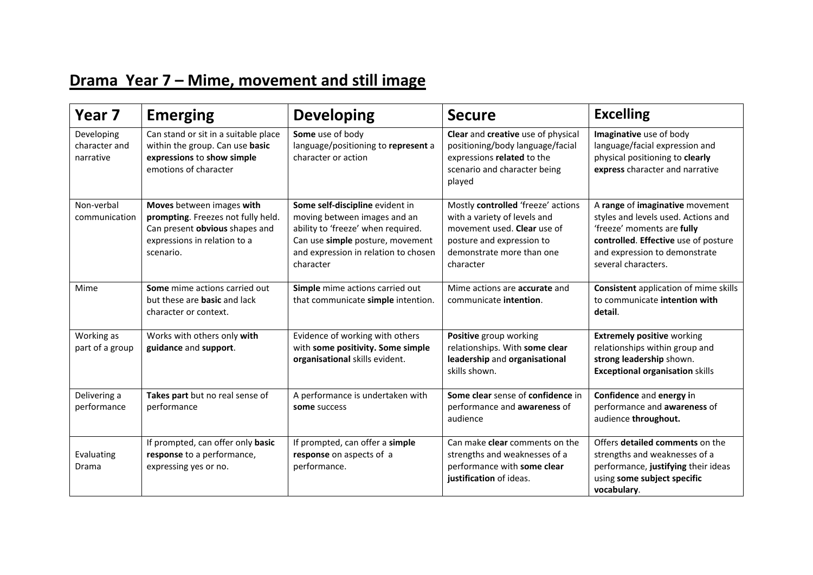## **Drama Year 7 – Mime, movement and still image**

| Year <sub>7</sub>                        | <b>Emerging</b>                                                                                                                                | <b>Developing</b>                                                                                                                                                                              | <b>Secure</b>                                                                                                                                                            | <b>Excelling</b>                                                                                                                                                                                     |
|------------------------------------------|------------------------------------------------------------------------------------------------------------------------------------------------|------------------------------------------------------------------------------------------------------------------------------------------------------------------------------------------------|--------------------------------------------------------------------------------------------------------------------------------------------------------------------------|------------------------------------------------------------------------------------------------------------------------------------------------------------------------------------------------------|
| Developing<br>character and<br>narrative | Can stand or sit in a suitable place<br>within the group. Can use basic<br>expressions to show simple<br>emotions of character                 | Some use of body<br>language/positioning to represent a<br>character or action                                                                                                                 | Clear and creative use of physical<br>positioning/body language/facial<br>expressions related to the<br>scenario and character being<br>played                           | Imaginative use of body<br>language/facial expression and<br>physical positioning to clearly<br>express character and narrative                                                                      |
| Non-verbal<br>communication              | Moves between images with<br>prompting. Freezes not fully held.<br>Can present obvious shapes and<br>expressions in relation to a<br>scenario. | Some self-discipline evident in<br>moving between images and an<br>ability to 'freeze' when required.<br>Can use simple posture, movement<br>and expression in relation to chosen<br>character | Mostly controlled 'freeze' actions<br>with a variety of levels and<br>movement used. Clear use of<br>posture and expression to<br>demonstrate more than one<br>character | A range of imaginative movement<br>styles and levels used. Actions and<br>'freeze' moments are fully<br>controlled. Effective use of posture<br>and expression to demonstrate<br>several characters. |
| Mime                                     | Some mime actions carried out<br>but these are basic and lack<br>character or context.                                                         | Simple mime actions carried out<br>that communicate simple intention.                                                                                                                          | Mime actions are <b>accurate</b> and<br>communicate intention.                                                                                                           | <b>Consistent application of mime skills</b><br>to communicate intention with<br>detail.                                                                                                             |
| Working as<br>part of a group            | Works with others only with<br>guidance and support.                                                                                           | Evidence of working with others<br>with some positivity. Some simple<br>organisational skills evident.                                                                                         | Positive group working<br>relationships. With some clear<br>leadership and organisational<br>skills shown.                                                               | <b>Extremely positive working</b><br>relationships within group and<br>strong leadership shown.<br><b>Exceptional organisation skills</b>                                                            |
| Delivering a<br>performance              | Takes part but no real sense of<br>performance                                                                                                 | A performance is undertaken with<br>some success                                                                                                                                               | Some clear sense of confidence in<br>performance and awareness of<br>audience                                                                                            | Confidence and energy in<br>performance and awareness of<br>audience throughout.                                                                                                                     |
| Evaluating<br>Drama                      | If prompted, can offer only basic<br>response to a performance,<br>expressing yes or no.                                                       | If prompted, can offer a simple<br>response on aspects of a<br>performance.                                                                                                                    | Can make clear comments on the<br>strengths and weaknesses of a<br>performance with some clear<br>justification of ideas.                                                | Offers detailed comments on the<br>strengths and weaknesses of a<br>performance, justifying their ideas<br>using some subject specific<br>vocabulary.                                                |